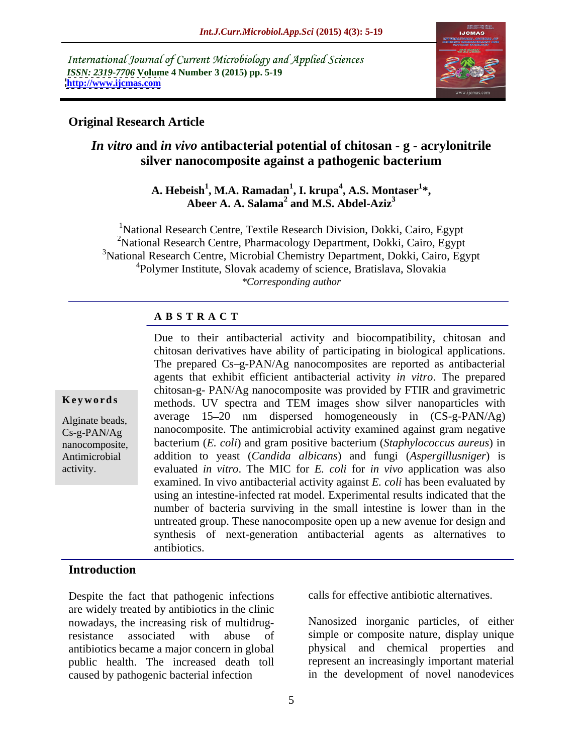International Journal of Current Microbiology and Applied Sciences *ISSN: 2319-7706* **Volume 4 Number 3 (2015) pp. 5-19 <http://www.ijcmas.com>**



#### **Original Research Article**

### *In vitro* **and** *in vivo* **antibacterial potential of chitosan - g - acrylonitrile silver nanocomposite against a pathogenic bacterium**

#### **A. Hebeish<sup>1</sup> , M.A. Ramadan<sup>1</sup> , I. krupa<sup>4</sup> , A.S. Montaser<sup>1</sup> \*,**  Abeer A. A. Salama<sup>2</sup> and M.S. Abdel-Aziz<sup>3</sup>  **and M.S. Abdel-Aziz<sup>3</sup>**

<sup>1</sup>National Research Centre, Textile Research Division, Dokki, Cairo, Egypt <sup>2</sup>National Research Centre, Pharmacology Department, Dokki, Cairo, Egypt <sup>3</sup>National Research Centre, Microbial Chemistry Department, Dokki, Cairo, Egypt <sup>4</sup>Polymer Institute, Slovak academy of science, Bratislava, Slovakia *\*Corresponding author*

#### **A B S T R A C T**

activity.

Due to their antibacterial activity and biocompatibility, chitosan and chitosan derivatives have ability of participating in biological applications. The prepared Cs-g-PAN/Ag nanocomposites are reported as antibacterial agents that exhibit efficient antibacterial activity *in vitro*. The prepared chitosan-g- PAN/Ag nanocomposite was provided by FTIR and gravimetric **Keywords** methods. UV spectra and TEM images show silver nanoparticles with Alginate beads, average 15–20 nm dispersed homogeneously in  $(CS-g-PAN/Ag)$  $CS-g-PAN/Ag$  nanocomposite. The antimicrobial activity examined against gram negative bacterium (*E. coli*) and gram positive bacterium (*Staphylococcus aureus*) in nanocomposite, addition to yeast (*Candida albicans*) and fungi (*Aspergillusniger*) is Antimicrobial evaluated *in vitro*. The MIC for *E. coli* for *in vivo* application was also examined. In vivo antibacterial activity against *E. coli* has been evaluated by using an intestine-infected rat model. Experimental results indicated that the number of bacteria surviving in the small intestine is lower than in the untreated group. These nanocomposite open up a new avenue for design and synthesis of next-generation antibacterial agents as alternatives to antibiotics.

### **Introduction**

Despite the fact that pathogenic infections are widely treated by antibiotics in the clinic nowadays, the increasing risk of multidrugresistance associated with abuse of simple or composite nature, display unique antibiotics became a major concern in global public health. The increased death toll caused by pathogenic bacterial infection

calls for effective antibiotic alternatives.

Nanosized inorganic particles, of either physical and chemical properties and represent an increasingly important material in the development of novel nanodevices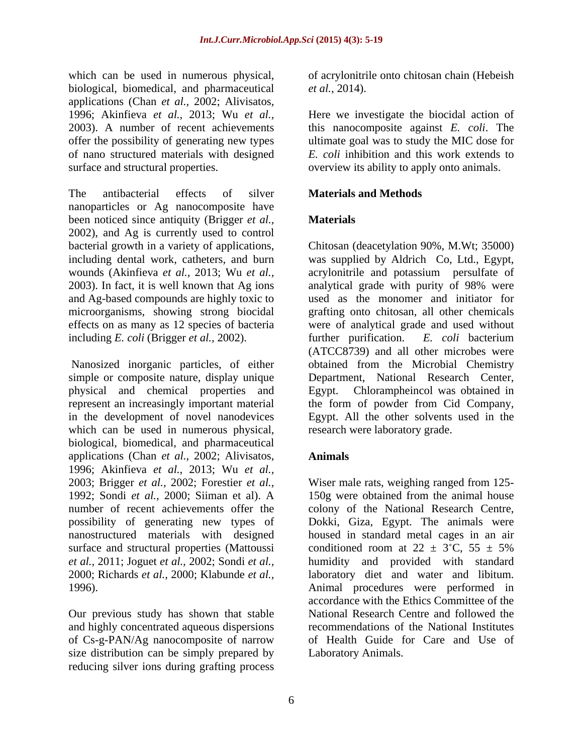which can be used in numerous physical, of acrylonitrile onto chitosan chain (Hebeish biological, biomedical, and pharmaceutical *et al.*, 2014). applications (Chan *et al.,* 2002; Alivisatos, 1996; Akinfieva *et al.,* 2013; Wu *et al.,* offer the possibility of generating new types

The antibacterial effects of silver **Materials and Methods** nanoparticles or Ag nanocomposite have been noticed since antiquity (Brigger *et al.,* 2002), and Ag is currently used to control bacterial growth in a variety of applications, Chitosan (deacetylation 90%, M.Wt; 35000) including dental work, catheters, and burn wassupplied by Aldrich Co, Ltd., Egypt, wounds (Akinfieva *et al.,* 2013; Wu *et al.,* acrylonitrile and potassium persulfate of 2003). In fact, it is well known that Ag ions analytical grade with purity of 98% were and Ag-based compounds are highly toxic to microorganisms, showing strong biocidal effects on as many as 12 species of bacteria were of analytical grade and used without including *E. coli* (Brigger *et al.*, 2002). further purification. *E. coli* bacterium

Nanosized inorganic particles, of either simple or composite nature, display unique Department, National Research Center, physical and chemical properties and Egypt. Chlorampheincol was obtained in represent an increasingly important material the form of powder from Cid Company, in the development of novel nanodevices Egypt. All the other solvents used in the which can be used in numerous physical, biological, biomedical, and pharmaceutical applications (Chan *et al.,* 2002; Alivisatos, 1996; Akinfieva *et al.,* 2013; Wu *et al.,* 2003; Brigger *et al.,* 2002; Forestier *et al.,* Wiser male rats, weighing ranged from 125- 1992; Sondi *et al.,* 2000; Siiman et al). A 150g were obtained from the animal house number of recent achievements offer the colony of the National Research Centre, possibility of generating new types of Dokki, Giza, Egypt. The animals were nanostructured materials with designed housed in standard metal cages in an air surface and structural properties (Mattoussi conditioned room at  $22 \pm 3^{\circ}$ C,  $55 \pm 5\%$ *et al.,* 2011; Joguet *et al.,* 2002; Sondi *et al.,* humidity and provided with standard 2000; Richards *et al.,* 2000; Klabunde *et al.,* laboratory diet and water and libitum.

Our previous study has shown that stable and highly concentrated aqueous dispersions size distribution can be simply prepared by reducing silver ions during grafting process

2003). A number of recent achievements this nanocomposite against *E. coli*. The of nano structured materials with designed *E. coli* inhibition and this work extends to surface and structural properties. overview its ability to apply onto animals. *et al.,* 2014). Here we investigate the biocidal action of ultimate goal was to study the MIC dose for

### **Materials**

analytical grade with purity of 98% were used as the monomer and initiator for grafting onto chitosan, all other chemicals further purification. (ATCC8739) and all other microbes were obtained from the Microbial Chemistry research were laboratory grade.

#### **Animals**

1996). Animal procedures were performed in of Cs-g-PAN/Ag nanocomposite of narrow of Health Guide for Care and Use of conditioned room at  $22 \pm 3$ °C,  $55 \pm 5$ % accordance with the Ethics Committee of the National Research Centre and followed the recommendations of the National Institutes Laboratory Animals.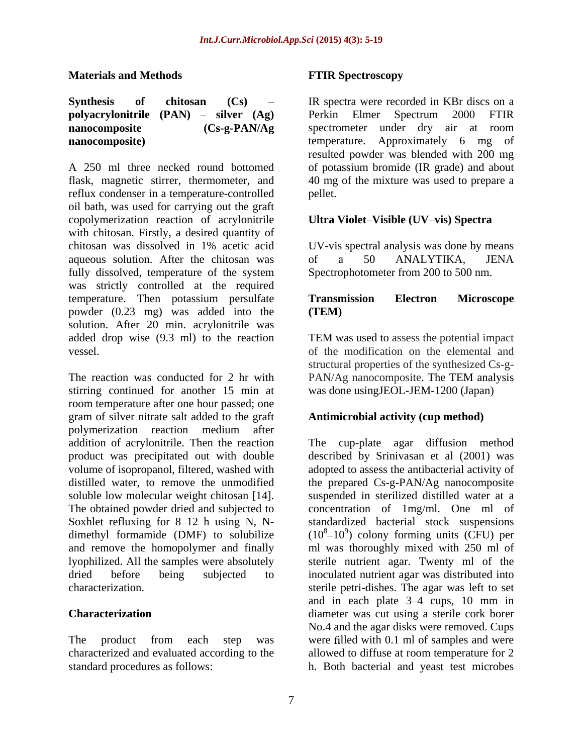#### **Materials and Methods**

| Synthesis of                          |  | chitosan (Cs)   | $\overline{\phantom{a}}$ |
|---------------------------------------|--|-----------------|--------------------------|
| polyacrylonitrile (PAN) – silver (Ag) |  |                 |                          |
| nanocomposite                         |  | $(Cs-g-PAN/Ag)$ |                          |
| nanocomposite)                        |  |                 |                          |

A 250 ml three necked round bottomed of potassium bromide (IR grade) and about flask, magnetic stirrer, thermometer, and 40 mg of the mixture was used to prepare a reflux condenser in a temperature-controlled oil bath, was used for carrying out the graft copolymerization reaction of acrylonitrile with chitosan. Firstly, a desired quantity of chitosan was dissolved in 1% acetic acid UV-vis spectral analysis was done by means aqueous solution. After the chitosan was of a 50 ANALYTIKA, JENA fully dissolved, temperature of the system was strictly controlled at the required temperature. Then potassium persulfate **Transmission Electron Microscope** powder (0.23 mg) was added into the solution. After 20 min. acrylonitrile was added drop wise (9.3 ml) to the reaction TEM was used to assess the potential impact vessel. of the modification on the elemental and

The reaction was conducted for 2 hr with PAN/Ag nanocomposite. The TEM analysis stirring continued for another 15 min at room temperature after one hour passed; one gram of silver nitrate salt added to the graft polymerization reaction medium after addition of acrylonitrile. Then the reaction The cup-plate agar diffusion method The obtained powder dried and subjected to and remove the homopolymer and finally

standard procedures as follows: h. Both bacterial and yeast test microbes

#### **FTIR Spectroscopy**

**Synthesis** of **chitosan (Cs)** – IR spectra were recorded in KBr discs on a **polyacrylonitrile (PAN) silver (Ag)**  spectrometer under dry air at room **nanocomposite)** temperature. Approximately 6 mg of Perkin Elmer Spectrum 2000 FTIR spectrometer under dry air at room resulted powder was blended with 200 mg pellet.

### **Ultra Violet-Visible (UV-vis) Spectra**

of a 50 ANALYTIKA, JENA Spectrophotometer from 200 to 500 nm.

### **Transmission Electron Microscope (TEM)**

structural properties of the synthesized Cs-g was done usingJEOL-JEM-1200 (Japan)

#### **Antimicrobial activity (cup method)**

product was precipitated out with double described by Srinivasan et al (2001) was volume of isopropanol, filtered, washed with adopted to assess the antibacterial activity of distilled water, to remove the unmodified the prepared Cs-g-PAN/Ag nanocomposite soluble low molecular weight chitosan [14]. Suspended in sterilized distilled water at a Soxhlet refluxing for 8–12 h using N, N-<br>standardized bacterial stock suspensions dimethyl formamide (DMF) to solubilize  $(10^8-10^9)$  colony forming units (CFU) per lyophilized. All the samples were absolutely sterile nutrient agar. Twenty ml of the dried before being subjected to inoculated nutrient agar was distributed into characterization. sterile petri-dishes. The agar was left to set **Characterization** diameter was cut using a sterile cork borer The product from each step was were filled with 0.1 ml of samples and were characterized and evaluated according to the allowed to diffuse at room temperature for 2 The cup-plate agar diffusion method concentration of 1mg/ml. One ml of ml was thoroughly mixed with 250 ml of and in each plate  $3-4$  cups, 10 mm in No.4 and the agar disks were removed. Cups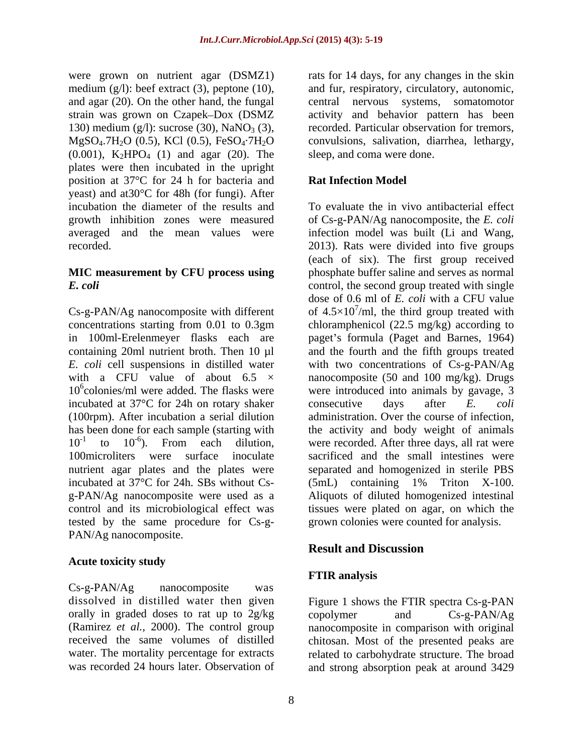medium (g/l): beef extract (3), peptone (10), and fur, respiratory, circulatory, autonomic, and agar (20). On the other hand, the fungal central nervous systems, somatomotor strain was grown on Czapek–Dox (DSMZ activity and behavior pattern has been 130) medium  $(g/l)$ : sucrose (30), NaNO<sub>3</sub> (3), recorded. Particular observation for tremors,  $MgSO_4$ .7H<sub>2</sub>O (0.5), KCl (0.5), FeSO<sub>4</sub>.7H<sub>2</sub>O convulsions, salivation, diarrhea, lethargy,  $(0.001)$ , K<sub>2</sub>HPO<sub>4</sub> (1) and agar (20). The plates were then incubated in the upright position at 37°C for 24 h for bacteria and yeast) and at30°C for 48h (for fungi). After

Cs-g-PAN/Ag nanocomposite with different incubated at 37°C for 24h on rotary shaker consecutive days after E. coli nutrient agar plates and the plates were incubated at 37<sup>o</sup>C for 24h. SBs without Cs- (5mL) containing 1% Triton X-100. tested by the same procedure for Cs-g- PAN/Ag nanocomposite.

### **Acute toxicity study**

Cs-g-PAN/Ag nanocomposite was orally in graded doses to rat up to  $2g/kg$  copolymer and  $Cs-g-PAN/Ag$ 

were grown on nutrient agar (DSMZ1) rats for 14 days, for any changes in the skin sleep, and coma were done.

### **Rat Infection Model**

incubation the diameter of the results and To evaluate the in vivo antibacterial effect growth inhibition zones were measured of Cs-g-PAN/Ag nanocomposite, the *E. coli* averaged and the mean values were infection model was built (Li and Wang, recorded. 2013). Rats were divided into five groups **MIC measurement by CFU process using** phosphate buffer saline and serves as normal **E. coli** control, the second group treated with single concentrations starting from 0.01 to 0.3gm chloramphenicol (22.5 mg/kg) according to in 100ml-Erelenmeyer flasks each are paget s formula (Paget and Barnes, 1964) containing 20ml nutrient broth. Then 10 µl and the fourth and the fifth groups treated *E. coli* cell suspensions in distilled water with two concentrations of Cs-g-PAN/Ag with a CFU value of about 6.5  $\times$  nanocomposite (50 and 100 mg/kg). Drugs 10<sup>6</sup>colonies/ml were added. The flasks were were introduced into animals by gavage, 3 (100rpm). After incubation a serial dilution administration. Over the course of infection, has been done for each sample (starting with the activity and body weight of animals  $10^{-1}$  to  $10^{-6}$ ). From each dilution, were recorded. After three days, all rat were 100microliters were surface inoculate sacrificed and the small intestines were g-PAN/Ag nanocomposite were used as a Aliquots of diluted homogenized intestinal control and its microbiological effect was tissueswere plated on agar, on which the (each of six). The first group received dose of 0.6 ml of *E. coli* with a CFU value of  $4.5 \times 10^7$ /ml, the third group treated with consecutive days after *E. coli* separated and homogenized in sterile PBS (5mL) containing 1% Triton X-100. grown colonies were counted for analysis.

### **Result and Discussion**

### **FTIR analysis**

dissolved in distilled water then given Figure 1 shows the FTIR spectra Cs-g-PAN (Ramirez *et al.,* 2000). The control group nanocomposite in comparison with original received the same volumes of distilled chitosan. Most of the presented peaks are water. The mortality percentage for extracts related to carbohydrate structure. The broad was recorded 24 hours later. Observation of and strong absorption peak at around 3429copolymer and Cs-g-PAN/Ag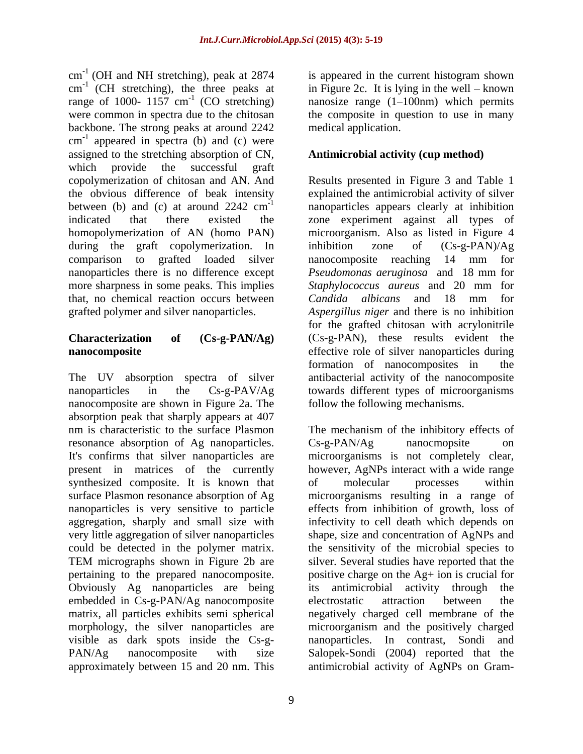cm<sup>-1</sup> (OH and NH stretching), peak at 2874 is appeared in the current histogram shown  $cm^{-1}$  (OH and NH stretching), peak at 2874  $cm^{-1}$  (CH stretching), the three peaks at  $cm<sup>-1</sup>$  (CH stretching), the three peaks at in Figure 2c. It is lying in the well – known range of 1000- 1157 cm<sup>-1</sup> (CO stretching) nanosize range  $(1-100nm)$  which permits were common in spectra due to the chitosan the composite in question to use in many backbone. The strong peaks at around 2242 cm<sup>-1</sup> appeared in spectra (b) and (c) were assigned to the stretching absorption of CN, which provide the successful graft copolymerization of chitosan and AN. And the obvious difference of beak intensity explained the antimicrobial activity of silver between (b) and (c) at around  $2242 \text{ cm}^{-1}$ indicated that there existed the zone experiment against all types of homopolymerization of AN (homo PAN) microorganism. Also as listed in Figure 4 during the graft copolymerization. In inhibition zone of  $(Cs-g-PAN)/Ag$ comparison to grafted loaded silver nanocomposite reaching 14 mm for nanoparticles there is no difference except *Pseudomonas aeruginosa* and 18 mm for more sharpness in some peaks. This implies *Staphylococcus aureus* and 20 mm for that, no chemical reaction occurs between Candida albicans and 18 mm for grafted polymer and silver nanoparticles. *Aspergillus niger* and there is no inhibition

The UV absorption spectra of silver antibacterial activity of the nanocomposite nanoparticles in the Cs-g-PAV/Ag towards different types of microorganisms nanocomposite are shown in Figure 2a. The absorption peak that sharply appears at 407 nm is characteristic to the surface Plasmon resonance absorption of Ag nanoparticles. Cs-g-PAN/Ag nanocmopsite on synthesized composite. It is known that of molecular processes within surface Plasmon resonance absorption of Ag aggregation, sharply and small size with Obviously Ag nanoparticles are being its antimicrobial activity through the embedded in Cs-g-PAN/Ag nanocomposite electrostatic attraction between the matrix, all particles exhibits semi spherical

medical application.

## **Antimicrobial activity (cup method)**

<sup>-1</sup> nanoparticles appears clearly at inhibition **Characterization of (Cs-g-PAN/Ag)**  (Cs-g-PAN), these results evident the **nanocomposite** effective role of silver nanoparticles during Results presented in Figure 3 and Table 1 inhibition zone of  $(Cs-g-PAN)/Ag$ nanocomposite reaching 14 mm for *Candida albicans* and 18 mm for for the grafted chitosan with acrylonitrile formation of nanocomposites in the follow the following mechanisms.

nm is characteristic to the surface Plasmon The mechanism of the inhibitory effects of It's confirms that silver nanoparticles are microorganisms is not completely clear, present in matrices of the currently however, AgNPs interact with a wide range nanoparticles is very sensitive to particle effects from inhibition of growth, loss of very little aggregation of silver nanoparticles shape, size and concentration of AgNPs and could be detected in the polymer matrix. the sensitivity of the microbial species to TEM micrographs shown in Figure 2b are silver. Several studies have reported that the pertaining to the prepared nanocomposite. positive charge on the Ag+ ion is crucial for morphology, the silver nanoparticles are microorganism and the positively charged visible as dark spots inside the Cs-g- nanoparticles. In contrast, Sondi and PAN/Ag nanocomposite with size Salopek-Sondi (2004) reported that the approximately between 15 and 20 nm. This antimicrobial activity of AgNPs on Gram-Cs-g-PAN/Ag nanocmopsite on of molecular processes within microorganisms resulting in a range of infectivity to cell death which depends on silver. Several studies have reported that the its antimicrobial activity through electrostatic attraction between the negatively charged cell membrane of the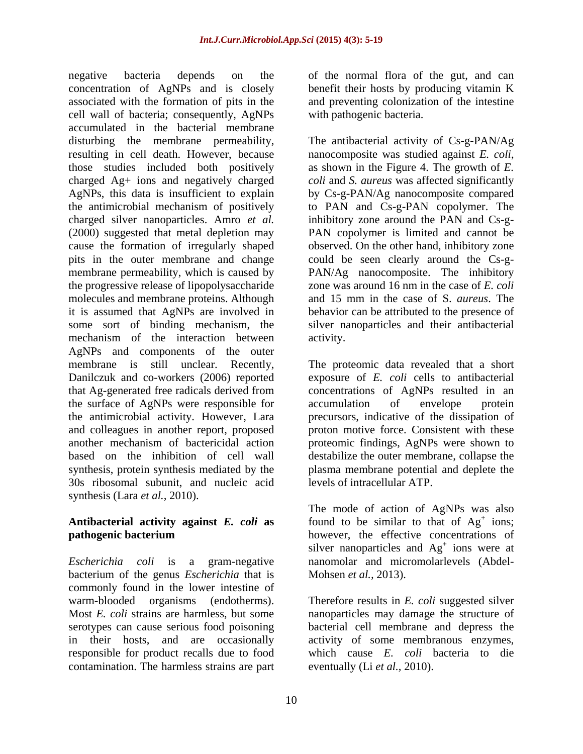negative bacteria depends on the of the normal flora of the gut, and can concentration of AgNPs and is closely associated with the formation of pits in the and preventing colonization of the intestine cell wall of bacteria; consequently, AgNPs accumulated in the bacterial membrane disturbing the membrane permeability, The antibacterial activity of Cs-g-PAN/Ag resulting in cell death. However, because nanocomposite was studied against E. coli, those studies included both positively as shown in the Figure 4. The growth of E. charged Ag+ ions and negatively charged *coli* and *S. aureus* was affected significantly AgNPs, this data is insufficient to explain by Cs-g-PAN/Ag nanocomposite compared the antimicrobial mechanism of positively to PAN and Cs-g-PAN copolymer. The charged silver nanoparticles. Amro *et al.* inhibitory zone around the PAN and Cs-g- (2000) suggested that metal depletion may PAN copolymer is limited and cannot be cause the formation of irregularly shaped observed. On the other hand, inhibitory zone pits in the outer membrane and change could be seen clearly around the Cs-gmembrane permeability, which is caused by PAN/Ag nanocomposite. The inhibitory the progressive release of lipopolysaccharide zone was around 16 nm in the case of *E. coli*  molecules and membrane proteins. Although and 15 mm in the case of S. *aureus*. The it is assumed that AgNPs are involved in some sort of binding mechanism, the silver nanoparticles and their antibacterial mechanism of the interaction between AgNPs and components of the outer membrane is still unclear. Recently, The proteomic data revealed that a short Danilczuk and co-workers (2006) reported exposure of *E. coli* cells to antibacterial that Ag-generated free radicals derived from concentrations of AgNPs resulted in an the surface of AgNPs were responsible for accumulation of envelope protein the antimicrobial activity. However, Lara precursors, indicative of the dissipation of and colleagues in another report, proposed another mechanism of bactericidal action proteomic findings, AgNPs were shown to based on the inhibition of cell wall destabilize the outer membrane, collapse the synthesis, protein synthesis mediated by the plasma membrane potential and deplete the 30s ribosomal subunit, and nucleic acid synthesis (Lara *et al.,* 2010).

# **Antibacterial activity against** *E. coli* **as**

*Escherichia coli* is a gram-negative nanomolar and micromolarlevels (Abdelbacterium of the genus *Escherichia* that is Mohsen *et al.*, 2013). commonly found in the lower intestine of warm-blooded organisms (endotherms). Therefore results in *E. coli* suggested silver<br>Most *E. coli* strains are harmless, but some nanoparticles may damage the structure of contamination. The harmless strains are part

benefit their hosts by producing vitamin K with pathogenic bacteria.

nanocomposite was studied against *E. coli*, as shown in the Figure 4. The growth of *E.*  and 15 mm in the case of S. *aureus*. The behavior can be attributed to the presence of activity.

accumulation of envelope protein proton motive force. Consistent with these levels of intracellular ATP.

**pathogenic bacterium however, the effective concentrations of** The mode of action of AgNPs was also found to be similar to that of  $Ag<sup>+</sup>$  ions; ions; silver nanoparticles and  $Ag<sup>+</sup>$  ions were at ions were at nanomolar and micromolarlevels (Abdel-

Most *E. coli* strains are harmless, but some nanoparticles may damage the structure of serotypes can cause serious food poisoning bacterial cell membrane and depress the in their hosts, and are occasionally activity of some membranous enzymes, responsible for product recalls due to food which cause *E. coli* bacteria to die Mohsen *et al.,* 2013). Therefore results in *E. coli* suggested silver eventually (Li *et al.,* 2010).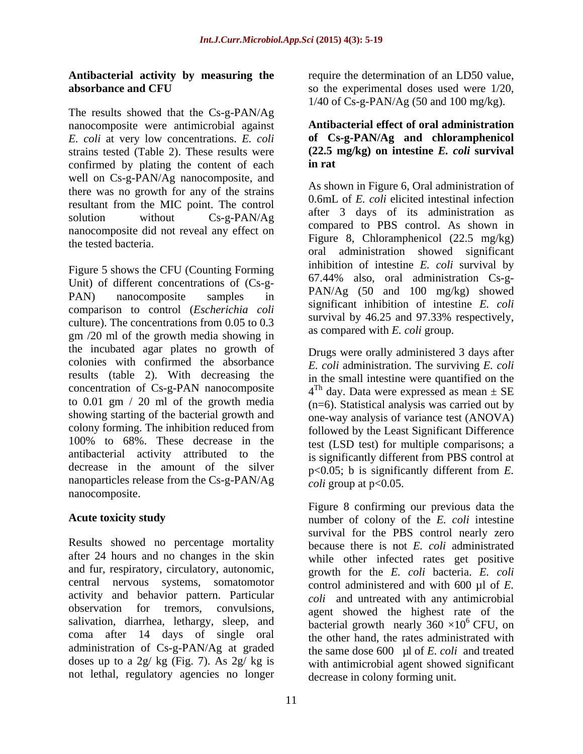# **Antibacterial activity by measuring the**

The results showed that the Cs-g-PAN/Ag nanocomposite were antimicrobial against *E. coli* at very low concentrations. *E. coli* strains tested (Table 2). These results were confirmed by plating the content of each **in rat** well on Cs-g-PAN/Ag nanocomposite, and there was no growth for any of the strains resultant from the MIC point. The control nanocomposite did not reveal any effect on

Figure 5 shows the CFU (Counting Forming Unit) of different concentrations of (Cs-g- PAN) nanocomposite samples in  $\frac{PAN/Ag}{P}$  (50 and 100 ing/kg) showed comparison to control (*Escherichia coli* culture). The concentrations from 0.05 to 0.3 gm /20 ml of the growth media showing in the incubated agar plates no growth of colonies with confirmed the absorbance results (table 2). With decreasing the in the small intestine were quantified on the concentration of Cs-g-PAN nanocomposite  $4^{Th}$  day. Data were expressed as mean  $\pm$  SE to 0.01 gm  $/$  20 ml of the growth media  $(n=6)$ . Statistical analysis was carried out by showing starting of the bacterial growth and colony forming. The inhibition reduced from 100% to 68%. These decrease in the test (LSD test) for multiple comparisons; a antibacterial activity attributed to the is significantly different from PBS control at decrease in the amount of the silver nanoparticles release from the Cs-g-PAN/Ag nanocomposite.

Results showed no percentage mortality after 24 hours and no changes in the skin and fur, respiratory, circulatory, autonomic, central nervous systems, somatomotor salivation, diarrhea, lethargy, sleep, and administration of Cs-g-PAN/Ag at graded doses up to a  $2g$ / kg (Fig. 7). As  $2g$ / kg is not lethal, regulatory agencies no longer

**absorbance and CFU** so the experimental doses used were  $1/20$ , require the determination of an LD50 value,  $1/40$  of Cs-g-PAN/Ag (50 and 100 mg/kg).

#### **Antibacterial effect of oral administration of Cs-g-PAN/Ag and chloramphenicol (22.5 mg/kg) on intestine** *E. coli* **survival in rat**

solution without  $Cs-g-PAN/Ag$  and  $J_{14}$  ppg  $A_{14}$  and  $I_{24}$ the tested bacteria. The contract of the tested bacteria. As shown in Figure 6, Oral administration of 0.6mL of *E. coli* elicited intestinal infection after 3 days of its administration as compared to PBS control. As shown in Figure 8, Chloramphenicol (22.5 mg/kg) oral administration showed significant inhibition of intestine *E. coli* survival by 67.44% also, oral administration Cs-g- PAN/Ag (50 and 100 mg/kg) showed significant inhibition of intestine *E. coli* survival by 46.25 and 97.33% respectively, as compared with *E. coli* group.

> Drugs were orally administered 3 days after *E. coli* administration. The surviving *E. coli* one-way analysis of variance test (ANOVA) followed by the Least Significant Difference p<0.05; b is significantly different from *E. coli* group at  $p<0.05$ .

Acute toxicity study number of colony of the *E. coli* intestine activity and behavior pattern. Particular *coli* and untreated with any antimicrobial observation for tremors, convulsions, agent showed the highest rate of the coma after 14 days of single oral the other hand, the rates administrated with Figure 8 confirming our previous data the survival for the PBS control nearly zero because there is not *E. coli* administrated while other infected rates get positive growth for the *E. coli* bacteria. *E. coli* control administered and with 600 µl of *E.*  bacterial growth nearly  $360 \times 10^6$  CFU, on  $6$  CFU, on the same dose 600 µl of *E. coli* and treated with antimicrobial agent showed significant decrease in colony forming unit.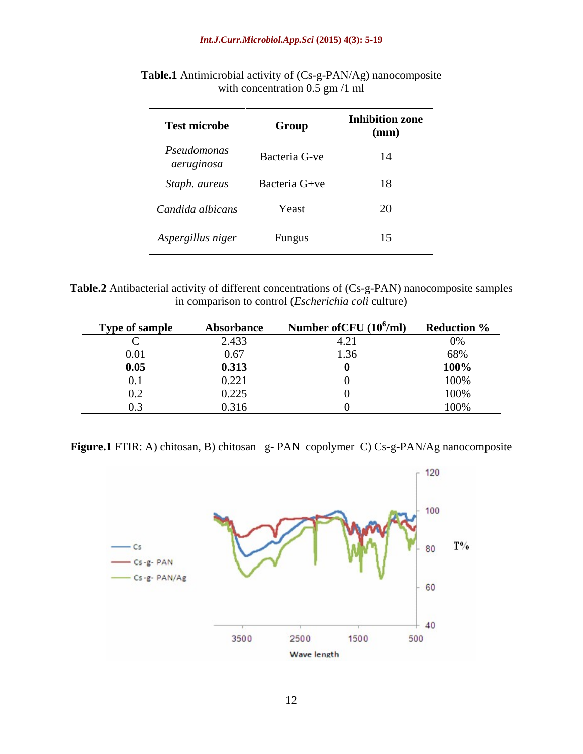| <b>Test microbe</b>       | Group         | <b>Inhibition zone</b><br>(mm) |
|---------------------------|---------------|--------------------------------|
| Pseudomonas<br>aeruginosa | Bacteria G-ve | 14                             |
| Staph. aureus             | Bacteria G+ve | 18                             |
| Candida albicans          | Yeast         | 20                             |
| Aspergillus niger         | Fungus        | 15                             |

**Table.1** Antimicrobial activity of (Cs-g-PAN/Ag) nanocomposite with concentration  $0.5$  gm  $/1$  ml

| $\mathbf{1} \cdot \mathbf{2}$<br>Table.<br>. samples :<br>, difter<br>centrations of (C<br>etibacteriai<br>tivit<br>osite<br>anocompos<br>. conce<br>$\sim$ -0-PAN<br>ı n<br>oumpic |  |
|-------------------------------------------------------------------------------------------------------------------------------------------------------------------------------------|--|
| 'scherichia (<br>culture)<br>comparison to contro<br>100k<br>$\cdots$<br>$. \overline{.} \overline{.}$<br>ື<br>.                                                                    |  |

|       | Absorbance Number of CFU $(10^6$ /ml) Reduction % |      |
|-------|---------------------------------------------------|------|
|       |                                                   |      |
| 0.67  |                                                   |      |
| 0.313 |                                                   | 100% |
| 0.021 |                                                   |      |
|       |                                                   |      |
|       |                                                   |      |

Figure.1 FTIR: A) chitosan, B) chitosan -g- PAN copolymer C) Cs-g-PAN/Ag nanocomposite

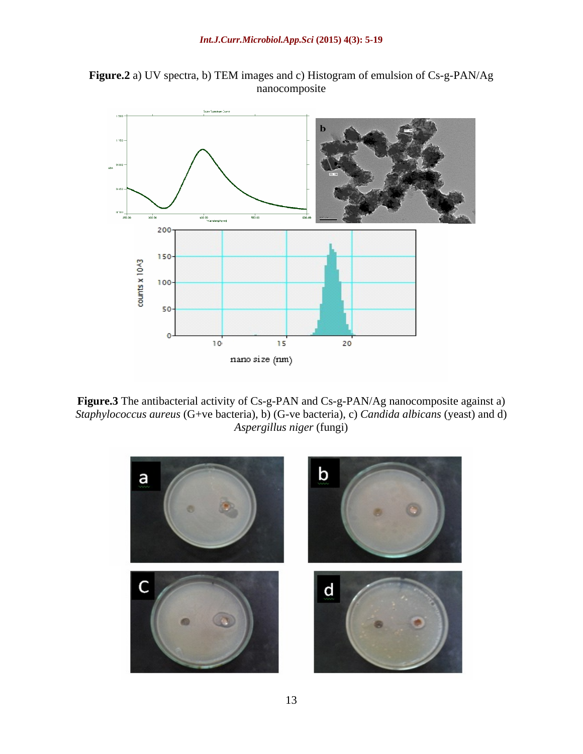



**Figure.3** The antibacterial activity of Cs-g-PAN and Cs-g-PAN/Ag nanocomposite against a) *Staphylococcus aureus* (G+ve bacteria), b) (G-ve bacteria), c) *Candida albicans* (yeast) and d) *Aspergillus niger* (fungi)

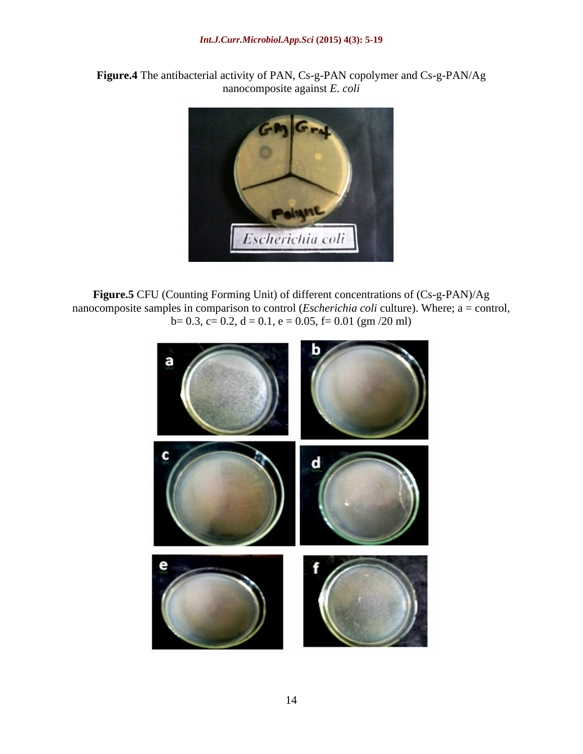**Figure.4** The antibacterial activity of PAN, Cs-g-PAN copolymer and Cs-g-PAN/Ag nanocomposite against *E. coli*



**Figure.5** CFU (Counting Forming Unit) of different concentrations of (Cs-g-PAN)/Ag nanocomposite samples in comparison to control (*Escherichia coli* culture). Where; a = control,  $b= 0.3$ ,  $c= 0.2$ ,  $d = 0.1$ ,  $e = 0.05$ ,  $f= 0.01$  (gm /20 ml)

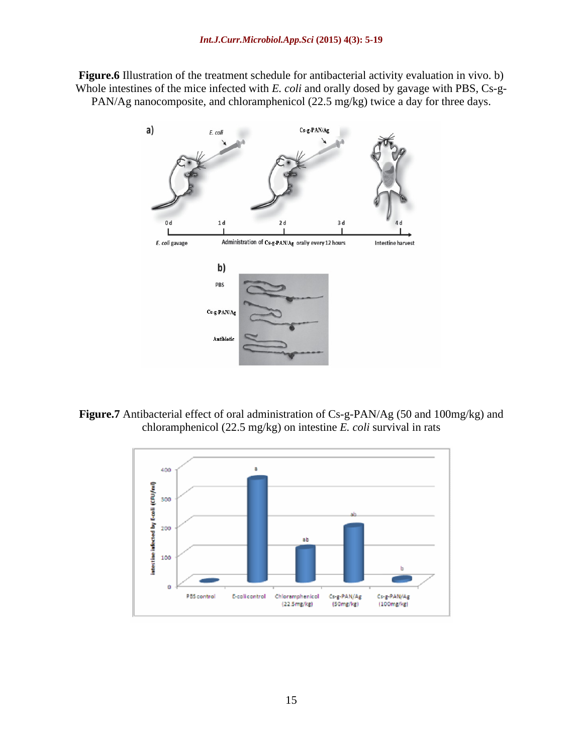**Figure.6** Illustration of the treatment schedule for antibacterial activity evaluation in vivo. b) Whole intestines of the mice infected with *E. coli* and orally dosed by gavage with PBS, Cs-g-PAN/Ag nanocomposite, and chloramphenicol (22.5 mg/kg) twice a day for three days.





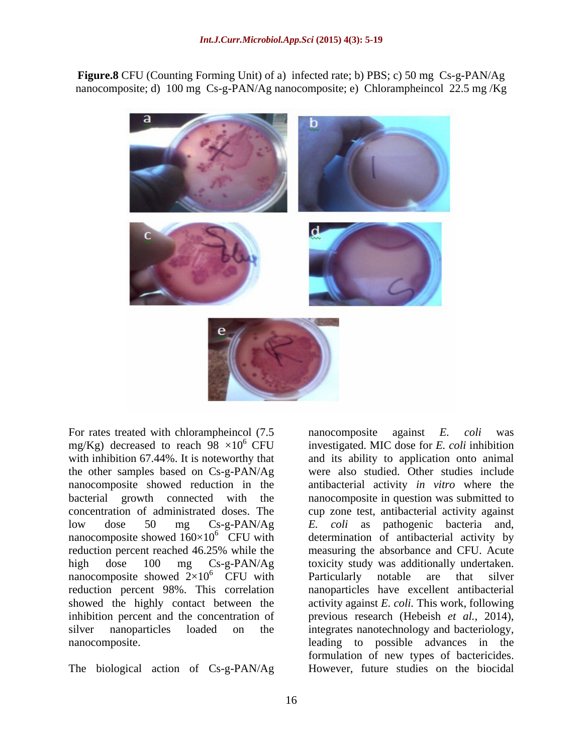**Figure.8** CFU (Counting Forming Unit) of a) infected rate; b) PBS; c) 50 mg Cs-g-PAN/Ag nanocomposite; d) 100 mg Cs-g-PAN/Ag nanocomposite; e) Chlorampheincol 22.5 mg /Kg



nanocomposite showed  $160\times10^{6}$  CFU with nanocomposite showed  $2\times10^6$  CFU with Particularly notable are that silver reduction percent 98%. This correlation inhibition percent and the concentration of previous research (Hebeish et al., 2014), silver nanoparticles loaded on the integrates nanotechnology and bacteriology,

The biological action of Cs-g-PAN/Ag

For rates treated with chlorampheincol (7.5 and nanocomposite against E. coli was mg/Kg) decreased to reach  $98 \times 10^6$  CFU investigated. MIC dose for *E. coli* inhibition with inhibition 67.44%. It is noteworthy that and its ability to application onto animal the other samples based on Cs-g-PAN/Ag were also studied. Other studies include nanocomposite showed reduction in the antibacterial activity *in vitro* where the bacterial growth connected with the nanocomposite in question was submitted to concentration of administrated doses. The cup zone test, antibacterial activity against low dose 50 mg Cs-g-PAN/Ag *E. coli* as pathogenic bacteria and, <sup>6</sup> CFU with determination of antibacterial activity by reduction percent reached 46.25% while the measuring the absorbance and CFU. Acute high dose 100 mg Cs-g-PAN/Ag toxicity study was additionally undertaken. <sup>6</sup> CFU with Particularly notable are that silver showed the highly contact between the activity against *E. coli.* This work, following nanocomposite. leading to possible advances in the nanocomposite against *E. coli* was *E. coli* as pathogenic bacteria and, measuring the absorbance and CFU. Acute Particularly notable are that silver nanoparticles have excellent antibacterial previous research (Hebeish *et al.,* 2014), integrates nanotechnology and bacteriology, formulation of new types of bactericides. However, future studies on the biocidal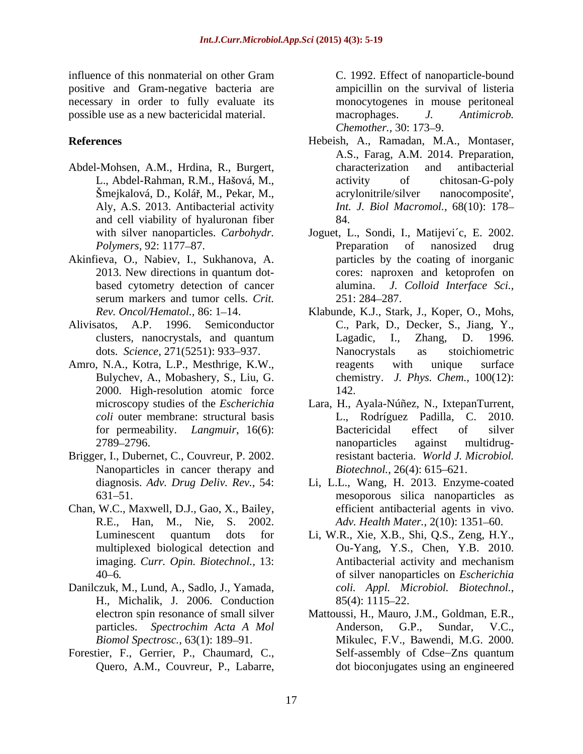influence of this nonmaterial on other Gram C. 1992. Effect of nanoparticle-bound positive and Gram-negative bacteria are necessary in order to fully evaluate its possible use as a new bactericidal material. macrophages. J. Antimicrob.

- Abdel-Mohsen, A.M., Hrdina, R., Burgert, and cell viability of hyaluronan fiber
- Akinfieva, O., Nabiev, I., Sukhanova, A.
- 
- 2000. High-resolution atomic force *coli* outer membrane: structural basis
- Brigger, I., Dubernet, C., Couvreur, P. 2002. Nanoparticles in cancer therapy and
- Chan, W.C., Maxwell, D.J., Gao, X., Bailey, R.E., Han, M., Nie, S. 2002.
- Danilczuk, M., Lund, A., Sadlo, J., Yamada, coli. Appl. Microbiol. Biotechnol., H., Michalik, J. 2006. Conduction
- Forestier, F., Gerrier, P., Chaumard, C.,

ampicillin on the survival of listeria monocytogenes in mouse peritoneal macrophages. *J. Antimicrob. Chemother.,* 30: 173–9.

- **References** Hebeish, A., Ramadan, M.A., Montaser, L., Abdel-Rahman, R.M., Hašová, M., activity of chitosan-G-poly Šmejkalová, D., Kolář, M., Pekar, M., acrylonitrile/silver nanocomposite', Aly, A.S. 2013. Antibacterial activity *Int. J. Biol Macromol.,* 68(10): 178 ec and this controllerial on the Grama controllering in order to fully evaluate in the survey in order to fully evaluate is moreovery as a moreovery in order to fully example, the set of the set of the set of nanoparticle A.S., Farag, A.M. 2014. Preparation, characterization and antibacterial activity of chitosan-G-poly acrylonitrile/silver 84.
	- with silver nanoparticles. *Carbohydr*. Joguet, L., Sondi, I., Matijevi´c, E. 2002. *Polymers,* 92: 1177–87. **Preparation** of nanosized drug 2013. New directions in quantum dot-<br>cores: naproxen and ketoprofen on based cytometry detection of cancer alumina. J. Colloid Interface Sci., serum markers and tumor cells. *Crit.* 251: 284–287. Preparation of nanosized drug particles by the coating of inorganic cores: naproxen and ketoprofen on alumina. *J. Colloid Interface Sci.,* 251: 284 287.
- *Rev. Oncol/Hematol.,* 86: 1–14. Klabunde, K.J., Stark, J., Koper, O., Mohs, Alivisatos, A.P. 1996. Semiconductor C., Park, D., Decker, S., Jiang, Y., clusters*,* nanocrystals, and quantum dots. *Science*, 271(5251): 933–937. Nanocrystals as stoichiometric Amro, N.A., Kotra, L.P., Mesthrige, K.W., Bulychev, A., Mobashery, S., Liu, G. chemistry. *J. Phys. Chem.,* 100(12): Lagadic, I., Zhang, D. 1996. Nanocrystals as stoichiometric reagents with unique surface 142.
	- microscopy studies of the *Escherichia*  Lara, H., Ayala-Núñez, N., IxtepanTurrent, for permeability. *Langmuir*, 16(6): Bactericidal effect of silver<br>2789–2796. **2789–2796**. **2789–2796**. L., Rodríguez Padilla, C. 2010. Bactericidal effect of silver nanoparticles against multidrugresistant bacteria. *World J. Microbiol. Biotechnol.*, 26(4): 615–621.
	- diagnosis. *Adv. Drug Deliv. Rev.,* 54: Li, L.L., Wang, H. 2013. Enzyme-coated 631 51. mesoporous silica nanoparticles as efficient antibacterial agents in vivo. *Adv. Health Mater.*, 2(10): 1351–60.
	- Luminescent quantum dots for Li, W.R., Xie, X.B., Shi, Q.S., Zeng, H.Y., multiplexed biological detection and Ou-Yang, Y.S., Chen, Y.B. 2010. imaging. *Curr. Opin. Biotechnol.*, 13: Antibacterial activity and mechanism 40 6*.* of silver nanoparticles on *Escherichia*  Antibacterial activity and mechanism *coli. Appl. Microbiol. Biotechnol.,*<br>85(4): 1115–22.
	- electron spin resonance of small silver Mattoussi, H., Mauro, J.M., Goldman, E.R., particles. *Spectrochim Acta A Mol Biomol Spectrosc.*, 63(1): 189–91. Mikulec, F.V., Bawendi, M.G. 2000.<br>tier, F., Gerrier, P., Chaumard, C., Self-assembly of Cdse-Zns quantum Anderson, G.P., Sundar, V.C., Mikulec, F.V., Bawendi, M.G. 2000. Self-assembly of Cdse-Zns quantum dot bioconjugates using an engineered